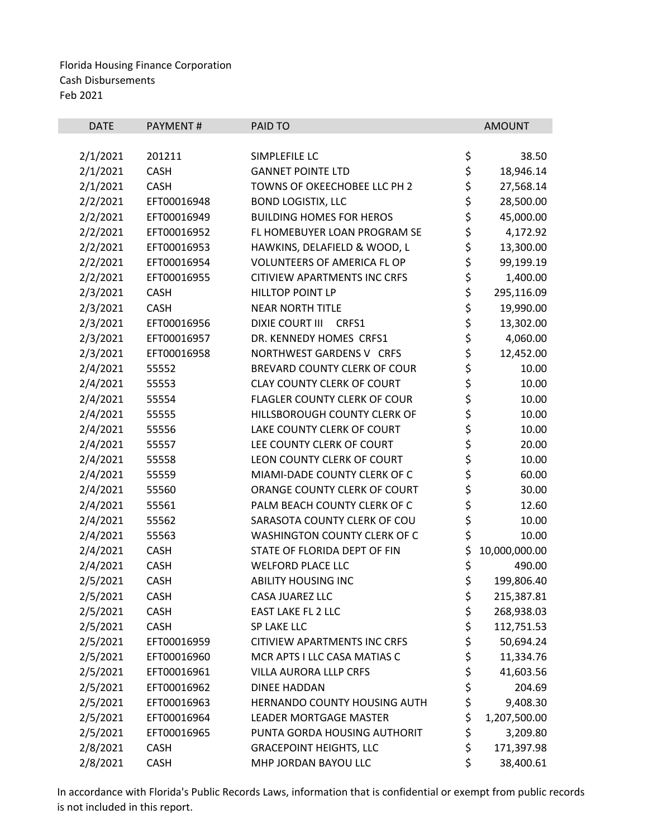| <b>DATE</b> | <b>PAYMENT#</b> | PAID TO                             |          | <b>AMOUNT</b> |
|-------------|-----------------|-------------------------------------|----------|---------------|
|             |                 |                                     |          |               |
| 2/1/2021    | 201211          | SIMPLEFILE LC                       | \$       | 38.50         |
| 2/1/2021    | <b>CASH</b>     | <b>GANNET POINTE LTD</b>            | \$       | 18,946.14     |
| 2/1/2021    | <b>CASH</b>     | TOWNS OF OKEECHOBEE LLC PH 2        | \$\$\$   | 27,568.14     |
| 2/2/2021    | EFT00016948     | <b>BOND LOGISTIX, LLC</b>           |          | 28,500.00     |
| 2/2/2021    | EFT00016949     | <b>BUILDING HOMES FOR HEROS</b>     |          | 45,000.00     |
| 2/2/2021    | EFT00016952     | FL HOMEBUYER LOAN PROGRAM SE        | \$       | 4,172.92      |
| 2/2/2021    | EFT00016953     | HAWKINS, DELAFIELD & WOOD, L        | \$       | 13,300.00     |
| 2/2/2021    | EFT00016954     | VOLUNTEERS OF AMERICA FL OP         | \$       | 99,199.19     |
| 2/2/2021    | EFT00016955     | CITIVIEW APARTMENTS INC CRFS        | \$       | 1,400.00      |
| 2/3/2021    | <b>CASH</b>     | HILLTOP POINT LP                    | \$       | 295,116.09    |
| 2/3/2021    | <b>CASH</b>     | <b>NEAR NORTH TITLE</b>             | \$<br>\$ | 19,990.00     |
| 2/3/2021    | EFT00016956     | <b>DIXIE COURT III</b><br>CRFS1     |          | 13,302.00     |
| 2/3/2021    | EFT00016957     | DR. KENNEDY HOMES CRFS1             | \$<br>\$ | 4,060.00      |
| 2/3/2021    | EFT00016958     | NORTHWEST GARDENS V CRFS            |          | 12,452.00     |
| 2/4/2021    | 55552           | BREVARD COUNTY CLERK OF COUR        | \$       | 10.00         |
| 2/4/2021    | 55553           | <b>CLAY COUNTY CLERK OF COURT</b>   |          | 10.00         |
| 2/4/2021    | 55554           | FLAGLER COUNTY CLERK OF COUR        |          | 10.00         |
| 2/4/2021    | 55555           | HILLSBOROUGH COUNTY CLERK OF        | ややみ      | 10.00         |
| 2/4/2021    | 55556           | LAKE COUNTY CLERK OF COURT          |          | 10.00         |
| 2/4/2021    | 55557           | LEE COUNTY CLERK OF COURT           |          | 20.00         |
| 2/4/2021    | 55558           | LEON COUNTY CLERK OF COURT          |          | 10.00         |
| 2/4/2021    | 55559           | MIAMI-DADE COUNTY CLERK OF C        | ややみ      | 60.00         |
| 2/4/2021    | 55560           | ORANGE COUNTY CLERK OF COURT        |          | 30.00         |
| 2/4/2021    | 55561           | PALM BEACH COUNTY CLERK OF C        |          | 12.60         |
| 2/4/2021    | 55562           | SARASOTA COUNTY CLERK OF COU        |          | 10.00         |
| 2/4/2021    | 55563           | WASHINGTON COUNTY CLERK OF C        | \$       | 10.00         |
| 2/4/2021    | CASH            | STATE OF FLORIDA DEPT OF FIN        | \$       | 10,000,000.00 |
| 2/4/2021    | CASH            | <b>WELFORD PLACE LLC</b>            | \$       | 490.00        |
| 2/5/2021    | CASH            | <b>ABILITY HOUSING INC</b>          | \$       | 199,806.40    |
| 2/5/2021    | CASH            | CASA JUAREZ LLC                     | \$       | 215,387.81    |
| 2/5/2021    | <b>CASH</b>     | EAST LAKE FL 2 LLC                  | \$       | 268,938.03    |
| 2/5/2021    | CASH            | SP LAKE LLC                         | \$       | 112,751.53    |
| 2/5/2021    | EFT00016959     | <b>CITIVIEW APARTMENTS INC CRFS</b> | \$       | 50,694.24     |
| 2/5/2021    | EFT00016960     | MCR APTS I LLC CASA MATIAS C        | \$       | 11,334.76     |
| 2/5/2021    | EFT00016961     | VILLA AURORA LLLP CRFS              | \$       | 41,603.56     |
| 2/5/2021    | EFT00016962     | <b>DINEE HADDAN</b>                 | \$       | 204.69        |
| 2/5/2021    | EFT00016963     | HERNANDO COUNTY HOUSING AUTH        | \$       | 9,408.30      |
| 2/5/2021    | EFT00016964     | <b>LEADER MORTGAGE MASTER</b>       | \$       | 1,207,500.00  |
| 2/5/2021    | EFT00016965     | PUNTA GORDA HOUSING AUTHORIT        | \$       | 3,209.80      |
| 2/8/2021    | <b>CASH</b>     | <b>GRACEPOINT HEIGHTS, LLC</b>      | \$       | 171,397.98    |
| 2/8/2021    | <b>CASH</b>     | MHP JORDAN BAYOU LLC                | \$       | 38,400.61     |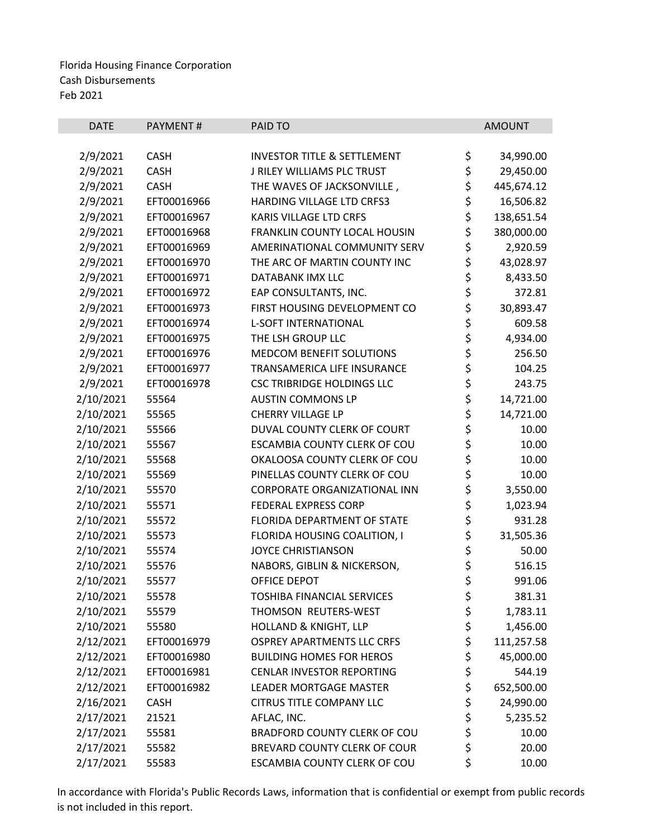| <b>DATE</b> | PAYMENT#    | PAID TO                                |          | <b>AMOUNT</b> |
|-------------|-------------|----------------------------------------|----------|---------------|
|             |             |                                        |          |               |
| 2/9/2021    | <b>CASH</b> | <b>INVESTOR TITLE &amp; SETTLEMENT</b> | \$       | 34,990.00     |
| 2/9/2021    | <b>CASH</b> | J RILEY WILLIAMS PLC TRUST             | \$       | 29,450.00     |
| 2/9/2021    | <b>CASH</b> | THE WAVES OF JACKSONVILLE,             | \$       | 445,674.12    |
| 2/9/2021    | EFT00016966 | HARDING VILLAGE LTD CRFS3              | \$       | 16,506.82     |
| 2/9/2021    | EFT00016967 | KARIS VILLAGE LTD CRFS                 | \$       | 138,651.54    |
| 2/9/2021    | EFT00016968 | FRANKLIN COUNTY LOCAL HOUSIN           | \$       | 380,000.00    |
| 2/9/2021    | EFT00016969 | AMERINATIONAL COMMUNITY SERV           | \$       | 2,920.59      |
| 2/9/2021    | EFT00016970 | THE ARC OF MARTIN COUNTY INC           | \$       | 43,028.97     |
| 2/9/2021    | EFT00016971 | DATABANK IMX LLC                       | \$       | 8,433.50      |
| 2/9/2021    | EFT00016972 | EAP CONSULTANTS, INC.                  | \$       | 372.81        |
| 2/9/2021    | EFT00016973 | FIRST HOUSING DEVELOPMENT CO           | \$<br>\$ | 30,893.47     |
| 2/9/2021    | EFT00016974 | <b>L-SOFT INTERNATIONAL</b>            |          | 609.58        |
| 2/9/2021    | EFT00016975 | THE LSH GROUP LLC                      | ささ       | 4,934.00      |
| 2/9/2021    | EFT00016976 | MEDCOM BENEFIT SOLUTIONS               |          | 256.50        |
| 2/9/2021    | EFT00016977 | TRANSAMERICA LIFE INSURANCE            |          | 104.25        |
| 2/9/2021    | EFT00016978 | <b>CSC TRIBRIDGE HOLDINGS LLC</b>      | \$<br>\$ | 243.75        |
| 2/10/2021   | 55564       | <b>AUSTIN COMMONS LP</b>               |          | 14,721.00     |
| 2/10/2021   | 55565       | <b>CHERRY VILLAGE LP</b>               | \$       | 14,721.00     |
| 2/10/2021   | 55566       | DUVAL COUNTY CLERK OF COURT            |          | 10.00         |
| 2/10/2021   | 55567       | ESCAMBIA COUNTY CLERK OF COU           | \$<br>\$ | 10.00         |
| 2/10/2021   | 55568       | OKALOOSA COUNTY CLERK OF COU           | \$       | 10.00         |
| 2/10/2021   | 55569       | PINELLAS COUNTY CLERK OF COU           | \$       | 10.00         |
| 2/10/2021   | 55570       | <b>CORPORATE ORGANIZATIONAL INN</b>    | \$       | 3,550.00      |
| 2/10/2021   | 55571       | <b>FEDERAL EXPRESS CORP</b>            |          | 1,023.94      |
| 2/10/2021   | 55572       | FLORIDA DEPARTMENT OF STATE            |          | 931.28        |
| 2/10/2021   | 55573       | FLORIDA HOUSING COALITION, I           | ささ       | 31,505.36     |
| 2/10/2021   | 55574       | <b>JOYCE CHRISTIANSON</b>              | \$       | 50.00         |
| 2/10/2021   | 55576       | NABORS, GIBLIN & NICKERSON,            | \$       | 516.15        |
| 2/10/2021   | 55577       | OFFICE DEPOT                           | \$       | 991.06        |
| 2/10/2021   | 55578       | <b>TOSHIBA FINANCIAL SERVICES</b>      | \$       | 381.31        |
| 2/10/2021   | 55579       | THOMSON REUTERS-WEST                   |          | 1,783.11      |
| 2/10/2021   | 55580       | <b>HOLLAND &amp; KNIGHT, LLP</b>       | \$<br>\$ | 1,456.00      |
| 2/12/2021   | EFT00016979 | <b>OSPREY APARTMENTS LLC CRFS</b>      | \$       | 111,257.58    |
| 2/12/2021   | EFT00016980 | <b>BUILDING HOMES FOR HEROS</b>        | \$       | 45,000.00     |
| 2/12/2021   | EFT00016981 | <b>CENLAR INVESTOR REPORTING</b>       | \$       | 544.19        |
| 2/12/2021   | EFT00016982 | LEADER MORTGAGE MASTER                 | \$       | 652,500.00    |
| 2/16/2021   | <b>CASH</b> | <b>CITRUS TITLE COMPANY LLC</b>        | \$       | 24,990.00     |
| 2/17/2021   | 21521       | AFLAC, INC.                            | \$       | 5,235.52      |
| 2/17/2021   | 55581       | BRADFORD COUNTY CLERK OF COU           | \$       | 10.00         |
| 2/17/2021   | 55582       | BREVARD COUNTY CLERK OF COUR           | \$       | 20.00         |
| 2/17/2021   | 55583       | ESCAMBIA COUNTY CLERK OF COU           | \$       | 10.00         |
|             |             |                                        |          |               |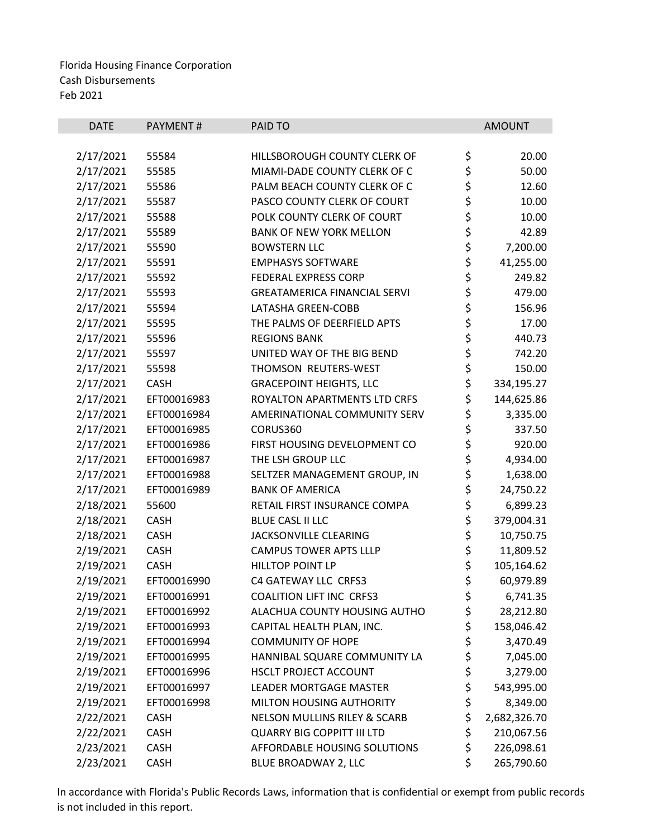| \$<br>2/17/2021<br>55584<br>HILLSBOROUGH COUNTY CLERK OF<br>20.00<br>\$<br>2/17/2021<br>55585<br>MIAMI-DADE COUNTY CLERK OF C<br>50.00<br>\$<br>2/17/2021<br>55586<br>PALM BEACH COUNTY CLERK OF C<br>12.60<br>\$<br>\$<br>2/17/2021<br>55587<br>PASCO COUNTY CLERK OF COURT<br>10.00<br>2/17/2021<br>POLK COUNTY CLERK OF COURT<br>10.00<br>55588<br>やややや やややや<br>2/17/2021<br>42.89<br>55589<br><b>BANK OF NEW YORK MELLON</b><br>7,200.00<br>2/17/2021<br>55590<br><b>BOWSTERN LLC</b><br>2/17/2021<br>55591<br><b>EMPHASYS SOFTWARE</b><br>41,255.00<br>2/17/2021<br>55592<br><b>FEDERAL EXPRESS CORP</b><br>249.82<br>2/17/2021<br>479.00<br>55593<br><b>GREATAMERICA FINANCIAL SERVI</b><br>2/17/2021<br>156.96<br>55594<br>LATASHA GREEN-COBB<br>17.00<br>2/17/2021<br>55595<br>THE PALMS OF DEERFIELD APTS<br>2/17/2021<br>55596<br><b>REGIONS BANK</b><br>440.73<br>2/17/2021<br>55597<br>UNITED WAY OF THE BIG BEND<br>742.20<br>\$<br>2/17/2021<br>THOMSON REUTERS-WEST<br>150.00<br>55598<br>\$<br>2/17/2021<br><b>CASH</b><br><b>GRACEPOINT HEIGHTS, LLC</b><br>334,195.27<br>\$<br>2/17/2021<br>EFT00016983<br>ROYALTON APARTMENTS LTD CRFS<br>144,625.86<br>\$<br>2/17/2021<br>EFT00016984<br>3,335.00<br>AMERINATIONAL COMMUNITY SERV<br>\$<br>\$<br>2/17/2021<br>EFT00016985<br>337.50<br>CORUS360<br>2/17/2021<br>EFT00016986<br>FIRST HOUSING DEVELOPMENT CO<br>920.00<br>\$<br>2/17/2021<br>EFT00016987<br>THE LSH GROUP LLC<br>4,934.00<br>\$<br>2/17/2021<br>EFT00016988<br>SELTZER MANAGEMENT GROUP, IN<br>1,638.00<br>\$<br>2/17/2021<br>EFT00016989<br><b>BANK OF AMERICA</b><br>24,750.22<br>\$<br>\$<br>2/18/2021<br>RETAIL FIRST INSURANCE COMPA<br>6,899.23<br>55600<br>379,004.31<br>2/18/2021<br><b>CASH</b><br><b>BLUE CASL II LLC</b><br>\$<br>2/18/2021<br><b>JACKSONVILLE CLEARING</b><br>10,750.75<br><b>CASH</b><br>\$<br>2/19/2021<br><b>CASH</b><br><b>CAMPUS TOWER APTS LLLP</b><br>11,809.52<br>\$<br>2/19/2021<br><b>HILLTOP POINT LP</b><br>105,164.62<br><b>CASH</b><br>\$<br>2/19/2021<br>C4 GATEWAY LLC CRFS3<br>60,979.89<br>EFT00016990<br>\$<br><b>COALITION LIFT INC CRFS3</b><br>2/19/2021<br>EFT00016991<br>6,741.35<br>\$<br>2/19/2021<br>ALACHUA COUNTY HOUSING AUTHO<br>28,212.80<br>EFT00016992<br>\$<br>2/19/2021<br>158,046.42<br>EFT00016993<br>CAPITAL HEALTH PLAN, INC.<br>\$<br>2/19/2021<br>EFT00016994<br><b>COMMUNITY OF HOPE</b><br>3,470.49<br>\$<br>2/19/2021<br>7,045.00<br>EFT00016995<br>HANNIBAL SQUARE COMMUNITY LA<br>\$<br>2/19/2021<br>EFT00016996<br><b>HSCLT PROJECT ACCOUNT</b><br>3,279.00<br>\$<br>2/19/2021<br>EFT00016997<br><b>LEADER MORTGAGE MASTER</b><br>543,995.00<br>\$<br>2/19/2021<br>EFT00016998<br>MILTON HOUSING AUTHORITY<br>8,349.00<br>\$<br>2/22/2021<br><b>CASH</b><br><b>NELSON MULLINS RILEY &amp; SCARB</b><br>2,682,326.70<br>\$<br>2/22/2021<br><b>CASH</b><br><b>QUARRY BIG COPPITT III LTD</b><br>210,067.56<br>\$<br>2/23/2021<br>AFFORDABLE HOUSING SOLUTIONS<br>226,098.61<br><b>CASH</b> | <b>DATE</b> | PAYMENT# | PAID TO | <b>AMOUNT</b> |
|---------------------------------------------------------------------------------------------------------------------------------------------------------------------------------------------------------------------------------------------------------------------------------------------------------------------------------------------------------------------------------------------------------------------------------------------------------------------------------------------------------------------------------------------------------------------------------------------------------------------------------------------------------------------------------------------------------------------------------------------------------------------------------------------------------------------------------------------------------------------------------------------------------------------------------------------------------------------------------------------------------------------------------------------------------------------------------------------------------------------------------------------------------------------------------------------------------------------------------------------------------------------------------------------------------------------------------------------------------------------------------------------------------------------------------------------------------------------------------------------------------------------------------------------------------------------------------------------------------------------------------------------------------------------------------------------------------------------------------------------------------------------------------------------------------------------------------------------------------------------------------------------------------------------------------------------------------------------------------------------------------------------------------------------------------------------------------------------------------------------------------------------------------------------------------------------------------------------------------------------------------------------------------------------------------------------------------------------------------------------------------------------------------------------------------------------------------------------------------------------------------------------------------------------------------------------------------------------------------------------------------------------------------------------------------------------------------------------------------------------------------------------------------------------------------------------------------------------------------------------------------------------------------------------------------------------------------------------------------------------------------|-------------|----------|---------|---------------|
|                                                                                                                                                                                                                                                                                                                                                                                                                                                                                                                                                                                                                                                                                                                                                                                                                                                                                                                                                                                                                                                                                                                                                                                                                                                                                                                                                                                                                                                                                                                                                                                                                                                                                                                                                                                                                                                                                                                                                                                                                                                                                                                                                                                                                                                                                                                                                                                                                                                                                                                                                                                                                                                                                                                                                                                                                                                                                                                                                                                                         |             |          |         |               |
|                                                                                                                                                                                                                                                                                                                                                                                                                                                                                                                                                                                                                                                                                                                                                                                                                                                                                                                                                                                                                                                                                                                                                                                                                                                                                                                                                                                                                                                                                                                                                                                                                                                                                                                                                                                                                                                                                                                                                                                                                                                                                                                                                                                                                                                                                                                                                                                                                                                                                                                                                                                                                                                                                                                                                                                                                                                                                                                                                                                                         |             |          |         |               |
|                                                                                                                                                                                                                                                                                                                                                                                                                                                                                                                                                                                                                                                                                                                                                                                                                                                                                                                                                                                                                                                                                                                                                                                                                                                                                                                                                                                                                                                                                                                                                                                                                                                                                                                                                                                                                                                                                                                                                                                                                                                                                                                                                                                                                                                                                                                                                                                                                                                                                                                                                                                                                                                                                                                                                                                                                                                                                                                                                                                                         |             |          |         |               |
|                                                                                                                                                                                                                                                                                                                                                                                                                                                                                                                                                                                                                                                                                                                                                                                                                                                                                                                                                                                                                                                                                                                                                                                                                                                                                                                                                                                                                                                                                                                                                                                                                                                                                                                                                                                                                                                                                                                                                                                                                                                                                                                                                                                                                                                                                                                                                                                                                                                                                                                                                                                                                                                                                                                                                                                                                                                                                                                                                                                                         |             |          |         |               |
|                                                                                                                                                                                                                                                                                                                                                                                                                                                                                                                                                                                                                                                                                                                                                                                                                                                                                                                                                                                                                                                                                                                                                                                                                                                                                                                                                                                                                                                                                                                                                                                                                                                                                                                                                                                                                                                                                                                                                                                                                                                                                                                                                                                                                                                                                                                                                                                                                                                                                                                                                                                                                                                                                                                                                                                                                                                                                                                                                                                                         |             |          |         |               |
|                                                                                                                                                                                                                                                                                                                                                                                                                                                                                                                                                                                                                                                                                                                                                                                                                                                                                                                                                                                                                                                                                                                                                                                                                                                                                                                                                                                                                                                                                                                                                                                                                                                                                                                                                                                                                                                                                                                                                                                                                                                                                                                                                                                                                                                                                                                                                                                                                                                                                                                                                                                                                                                                                                                                                                                                                                                                                                                                                                                                         |             |          |         |               |
|                                                                                                                                                                                                                                                                                                                                                                                                                                                                                                                                                                                                                                                                                                                                                                                                                                                                                                                                                                                                                                                                                                                                                                                                                                                                                                                                                                                                                                                                                                                                                                                                                                                                                                                                                                                                                                                                                                                                                                                                                                                                                                                                                                                                                                                                                                                                                                                                                                                                                                                                                                                                                                                                                                                                                                                                                                                                                                                                                                                                         |             |          |         |               |
|                                                                                                                                                                                                                                                                                                                                                                                                                                                                                                                                                                                                                                                                                                                                                                                                                                                                                                                                                                                                                                                                                                                                                                                                                                                                                                                                                                                                                                                                                                                                                                                                                                                                                                                                                                                                                                                                                                                                                                                                                                                                                                                                                                                                                                                                                                                                                                                                                                                                                                                                                                                                                                                                                                                                                                                                                                                                                                                                                                                                         |             |          |         |               |
|                                                                                                                                                                                                                                                                                                                                                                                                                                                                                                                                                                                                                                                                                                                                                                                                                                                                                                                                                                                                                                                                                                                                                                                                                                                                                                                                                                                                                                                                                                                                                                                                                                                                                                                                                                                                                                                                                                                                                                                                                                                                                                                                                                                                                                                                                                                                                                                                                                                                                                                                                                                                                                                                                                                                                                                                                                                                                                                                                                                                         |             |          |         |               |
|                                                                                                                                                                                                                                                                                                                                                                                                                                                                                                                                                                                                                                                                                                                                                                                                                                                                                                                                                                                                                                                                                                                                                                                                                                                                                                                                                                                                                                                                                                                                                                                                                                                                                                                                                                                                                                                                                                                                                                                                                                                                                                                                                                                                                                                                                                                                                                                                                                                                                                                                                                                                                                                                                                                                                                                                                                                                                                                                                                                                         |             |          |         |               |
|                                                                                                                                                                                                                                                                                                                                                                                                                                                                                                                                                                                                                                                                                                                                                                                                                                                                                                                                                                                                                                                                                                                                                                                                                                                                                                                                                                                                                                                                                                                                                                                                                                                                                                                                                                                                                                                                                                                                                                                                                                                                                                                                                                                                                                                                                                                                                                                                                                                                                                                                                                                                                                                                                                                                                                                                                                                                                                                                                                                                         |             |          |         |               |
|                                                                                                                                                                                                                                                                                                                                                                                                                                                                                                                                                                                                                                                                                                                                                                                                                                                                                                                                                                                                                                                                                                                                                                                                                                                                                                                                                                                                                                                                                                                                                                                                                                                                                                                                                                                                                                                                                                                                                                                                                                                                                                                                                                                                                                                                                                                                                                                                                                                                                                                                                                                                                                                                                                                                                                                                                                                                                                                                                                                                         |             |          |         |               |
|                                                                                                                                                                                                                                                                                                                                                                                                                                                                                                                                                                                                                                                                                                                                                                                                                                                                                                                                                                                                                                                                                                                                                                                                                                                                                                                                                                                                                                                                                                                                                                                                                                                                                                                                                                                                                                                                                                                                                                                                                                                                                                                                                                                                                                                                                                                                                                                                                                                                                                                                                                                                                                                                                                                                                                                                                                                                                                                                                                                                         |             |          |         |               |
|                                                                                                                                                                                                                                                                                                                                                                                                                                                                                                                                                                                                                                                                                                                                                                                                                                                                                                                                                                                                                                                                                                                                                                                                                                                                                                                                                                                                                                                                                                                                                                                                                                                                                                                                                                                                                                                                                                                                                                                                                                                                                                                                                                                                                                                                                                                                                                                                                                                                                                                                                                                                                                                                                                                                                                                                                                                                                                                                                                                                         |             |          |         |               |
|                                                                                                                                                                                                                                                                                                                                                                                                                                                                                                                                                                                                                                                                                                                                                                                                                                                                                                                                                                                                                                                                                                                                                                                                                                                                                                                                                                                                                                                                                                                                                                                                                                                                                                                                                                                                                                                                                                                                                                                                                                                                                                                                                                                                                                                                                                                                                                                                                                                                                                                                                                                                                                                                                                                                                                                                                                                                                                                                                                                                         |             |          |         |               |
|                                                                                                                                                                                                                                                                                                                                                                                                                                                                                                                                                                                                                                                                                                                                                                                                                                                                                                                                                                                                                                                                                                                                                                                                                                                                                                                                                                                                                                                                                                                                                                                                                                                                                                                                                                                                                                                                                                                                                                                                                                                                                                                                                                                                                                                                                                                                                                                                                                                                                                                                                                                                                                                                                                                                                                                                                                                                                                                                                                                                         |             |          |         |               |
|                                                                                                                                                                                                                                                                                                                                                                                                                                                                                                                                                                                                                                                                                                                                                                                                                                                                                                                                                                                                                                                                                                                                                                                                                                                                                                                                                                                                                                                                                                                                                                                                                                                                                                                                                                                                                                                                                                                                                                                                                                                                                                                                                                                                                                                                                                                                                                                                                                                                                                                                                                                                                                                                                                                                                                                                                                                                                                                                                                                                         |             |          |         |               |
|                                                                                                                                                                                                                                                                                                                                                                                                                                                                                                                                                                                                                                                                                                                                                                                                                                                                                                                                                                                                                                                                                                                                                                                                                                                                                                                                                                                                                                                                                                                                                                                                                                                                                                                                                                                                                                                                                                                                                                                                                                                                                                                                                                                                                                                                                                                                                                                                                                                                                                                                                                                                                                                                                                                                                                                                                                                                                                                                                                                                         |             |          |         |               |
|                                                                                                                                                                                                                                                                                                                                                                                                                                                                                                                                                                                                                                                                                                                                                                                                                                                                                                                                                                                                                                                                                                                                                                                                                                                                                                                                                                                                                                                                                                                                                                                                                                                                                                                                                                                                                                                                                                                                                                                                                                                                                                                                                                                                                                                                                                                                                                                                                                                                                                                                                                                                                                                                                                                                                                                                                                                                                                                                                                                                         |             |          |         |               |
|                                                                                                                                                                                                                                                                                                                                                                                                                                                                                                                                                                                                                                                                                                                                                                                                                                                                                                                                                                                                                                                                                                                                                                                                                                                                                                                                                                                                                                                                                                                                                                                                                                                                                                                                                                                                                                                                                                                                                                                                                                                                                                                                                                                                                                                                                                                                                                                                                                                                                                                                                                                                                                                                                                                                                                                                                                                                                                                                                                                                         |             |          |         |               |
|                                                                                                                                                                                                                                                                                                                                                                                                                                                                                                                                                                                                                                                                                                                                                                                                                                                                                                                                                                                                                                                                                                                                                                                                                                                                                                                                                                                                                                                                                                                                                                                                                                                                                                                                                                                                                                                                                                                                                                                                                                                                                                                                                                                                                                                                                                                                                                                                                                                                                                                                                                                                                                                                                                                                                                                                                                                                                                                                                                                                         |             |          |         |               |
|                                                                                                                                                                                                                                                                                                                                                                                                                                                                                                                                                                                                                                                                                                                                                                                                                                                                                                                                                                                                                                                                                                                                                                                                                                                                                                                                                                                                                                                                                                                                                                                                                                                                                                                                                                                                                                                                                                                                                                                                                                                                                                                                                                                                                                                                                                                                                                                                                                                                                                                                                                                                                                                                                                                                                                                                                                                                                                                                                                                                         |             |          |         |               |
|                                                                                                                                                                                                                                                                                                                                                                                                                                                                                                                                                                                                                                                                                                                                                                                                                                                                                                                                                                                                                                                                                                                                                                                                                                                                                                                                                                                                                                                                                                                                                                                                                                                                                                                                                                                                                                                                                                                                                                                                                                                                                                                                                                                                                                                                                                                                                                                                                                                                                                                                                                                                                                                                                                                                                                                                                                                                                                                                                                                                         |             |          |         |               |
|                                                                                                                                                                                                                                                                                                                                                                                                                                                                                                                                                                                                                                                                                                                                                                                                                                                                                                                                                                                                                                                                                                                                                                                                                                                                                                                                                                                                                                                                                                                                                                                                                                                                                                                                                                                                                                                                                                                                                                                                                                                                                                                                                                                                                                                                                                                                                                                                                                                                                                                                                                                                                                                                                                                                                                                                                                                                                                                                                                                                         |             |          |         |               |
|                                                                                                                                                                                                                                                                                                                                                                                                                                                                                                                                                                                                                                                                                                                                                                                                                                                                                                                                                                                                                                                                                                                                                                                                                                                                                                                                                                                                                                                                                                                                                                                                                                                                                                                                                                                                                                                                                                                                                                                                                                                                                                                                                                                                                                                                                                                                                                                                                                                                                                                                                                                                                                                                                                                                                                                                                                                                                                                                                                                                         |             |          |         |               |
|                                                                                                                                                                                                                                                                                                                                                                                                                                                                                                                                                                                                                                                                                                                                                                                                                                                                                                                                                                                                                                                                                                                                                                                                                                                                                                                                                                                                                                                                                                                                                                                                                                                                                                                                                                                                                                                                                                                                                                                                                                                                                                                                                                                                                                                                                                                                                                                                                                                                                                                                                                                                                                                                                                                                                                                                                                                                                                                                                                                                         |             |          |         |               |
|                                                                                                                                                                                                                                                                                                                                                                                                                                                                                                                                                                                                                                                                                                                                                                                                                                                                                                                                                                                                                                                                                                                                                                                                                                                                                                                                                                                                                                                                                                                                                                                                                                                                                                                                                                                                                                                                                                                                                                                                                                                                                                                                                                                                                                                                                                                                                                                                                                                                                                                                                                                                                                                                                                                                                                                                                                                                                                                                                                                                         |             |          |         |               |
|                                                                                                                                                                                                                                                                                                                                                                                                                                                                                                                                                                                                                                                                                                                                                                                                                                                                                                                                                                                                                                                                                                                                                                                                                                                                                                                                                                                                                                                                                                                                                                                                                                                                                                                                                                                                                                                                                                                                                                                                                                                                                                                                                                                                                                                                                                                                                                                                                                                                                                                                                                                                                                                                                                                                                                                                                                                                                                                                                                                                         |             |          |         |               |
|                                                                                                                                                                                                                                                                                                                                                                                                                                                                                                                                                                                                                                                                                                                                                                                                                                                                                                                                                                                                                                                                                                                                                                                                                                                                                                                                                                                                                                                                                                                                                                                                                                                                                                                                                                                                                                                                                                                                                                                                                                                                                                                                                                                                                                                                                                                                                                                                                                                                                                                                                                                                                                                                                                                                                                                                                                                                                                                                                                                                         |             |          |         |               |
|                                                                                                                                                                                                                                                                                                                                                                                                                                                                                                                                                                                                                                                                                                                                                                                                                                                                                                                                                                                                                                                                                                                                                                                                                                                                                                                                                                                                                                                                                                                                                                                                                                                                                                                                                                                                                                                                                                                                                                                                                                                                                                                                                                                                                                                                                                                                                                                                                                                                                                                                                                                                                                                                                                                                                                                                                                                                                                                                                                                                         |             |          |         |               |
|                                                                                                                                                                                                                                                                                                                                                                                                                                                                                                                                                                                                                                                                                                                                                                                                                                                                                                                                                                                                                                                                                                                                                                                                                                                                                                                                                                                                                                                                                                                                                                                                                                                                                                                                                                                                                                                                                                                                                                                                                                                                                                                                                                                                                                                                                                                                                                                                                                                                                                                                                                                                                                                                                                                                                                                                                                                                                                                                                                                                         |             |          |         |               |
|                                                                                                                                                                                                                                                                                                                                                                                                                                                                                                                                                                                                                                                                                                                                                                                                                                                                                                                                                                                                                                                                                                                                                                                                                                                                                                                                                                                                                                                                                                                                                                                                                                                                                                                                                                                                                                                                                                                                                                                                                                                                                                                                                                                                                                                                                                                                                                                                                                                                                                                                                                                                                                                                                                                                                                                                                                                                                                                                                                                                         |             |          |         |               |
|                                                                                                                                                                                                                                                                                                                                                                                                                                                                                                                                                                                                                                                                                                                                                                                                                                                                                                                                                                                                                                                                                                                                                                                                                                                                                                                                                                                                                                                                                                                                                                                                                                                                                                                                                                                                                                                                                                                                                                                                                                                                                                                                                                                                                                                                                                                                                                                                                                                                                                                                                                                                                                                                                                                                                                                                                                                                                                                                                                                                         |             |          |         |               |
|                                                                                                                                                                                                                                                                                                                                                                                                                                                                                                                                                                                                                                                                                                                                                                                                                                                                                                                                                                                                                                                                                                                                                                                                                                                                                                                                                                                                                                                                                                                                                                                                                                                                                                                                                                                                                                                                                                                                                                                                                                                                                                                                                                                                                                                                                                                                                                                                                                                                                                                                                                                                                                                                                                                                                                                                                                                                                                                                                                                                         |             |          |         |               |
|                                                                                                                                                                                                                                                                                                                                                                                                                                                                                                                                                                                                                                                                                                                                                                                                                                                                                                                                                                                                                                                                                                                                                                                                                                                                                                                                                                                                                                                                                                                                                                                                                                                                                                                                                                                                                                                                                                                                                                                                                                                                                                                                                                                                                                                                                                                                                                                                                                                                                                                                                                                                                                                                                                                                                                                                                                                                                                                                                                                                         |             |          |         |               |
|                                                                                                                                                                                                                                                                                                                                                                                                                                                                                                                                                                                                                                                                                                                                                                                                                                                                                                                                                                                                                                                                                                                                                                                                                                                                                                                                                                                                                                                                                                                                                                                                                                                                                                                                                                                                                                                                                                                                                                                                                                                                                                                                                                                                                                                                                                                                                                                                                                                                                                                                                                                                                                                                                                                                                                                                                                                                                                                                                                                                         |             |          |         |               |
|                                                                                                                                                                                                                                                                                                                                                                                                                                                                                                                                                                                                                                                                                                                                                                                                                                                                                                                                                                                                                                                                                                                                                                                                                                                                                                                                                                                                                                                                                                                                                                                                                                                                                                                                                                                                                                                                                                                                                                                                                                                                                                                                                                                                                                                                                                                                                                                                                                                                                                                                                                                                                                                                                                                                                                                                                                                                                                                                                                                                         |             |          |         |               |
|                                                                                                                                                                                                                                                                                                                                                                                                                                                                                                                                                                                                                                                                                                                                                                                                                                                                                                                                                                                                                                                                                                                                                                                                                                                                                                                                                                                                                                                                                                                                                                                                                                                                                                                                                                                                                                                                                                                                                                                                                                                                                                                                                                                                                                                                                                                                                                                                                                                                                                                                                                                                                                                                                                                                                                                                                                                                                                                                                                                                         |             |          |         |               |
|                                                                                                                                                                                                                                                                                                                                                                                                                                                                                                                                                                                                                                                                                                                                                                                                                                                                                                                                                                                                                                                                                                                                                                                                                                                                                                                                                                                                                                                                                                                                                                                                                                                                                                                                                                                                                                                                                                                                                                                                                                                                                                                                                                                                                                                                                                                                                                                                                                                                                                                                                                                                                                                                                                                                                                                                                                                                                                                                                                                                         |             |          |         |               |
|                                                                                                                                                                                                                                                                                                                                                                                                                                                                                                                                                                                                                                                                                                                                                                                                                                                                                                                                                                                                                                                                                                                                                                                                                                                                                                                                                                                                                                                                                                                                                                                                                                                                                                                                                                                                                                                                                                                                                                                                                                                                                                                                                                                                                                                                                                                                                                                                                                                                                                                                                                                                                                                                                                                                                                                                                                                                                                                                                                                                         |             |          |         |               |
|                                                                                                                                                                                                                                                                                                                                                                                                                                                                                                                                                                                                                                                                                                                                                                                                                                                                                                                                                                                                                                                                                                                                                                                                                                                                                                                                                                                                                                                                                                                                                                                                                                                                                                                                                                                                                                                                                                                                                                                                                                                                                                                                                                                                                                                                                                                                                                                                                                                                                                                                                                                                                                                                                                                                                                                                                                                                                                                                                                                                         |             |          |         |               |
| 2/23/2021<br>265,790.60<br><b>CASH</b><br>BLUE BROADWAY 2, LLC                                                                                                                                                                                                                                                                                                                                                                                                                                                                                                                                                                                                                                                                                                                                                                                                                                                                                                                                                                                                                                                                                                                                                                                                                                                                                                                                                                                                                                                                                                                                                                                                                                                                                                                                                                                                                                                                                                                                                                                                                                                                                                                                                                                                                                                                                                                                                                                                                                                                                                                                                                                                                                                                                                                                                                                                                                                                                                                                          |             |          |         | \$            |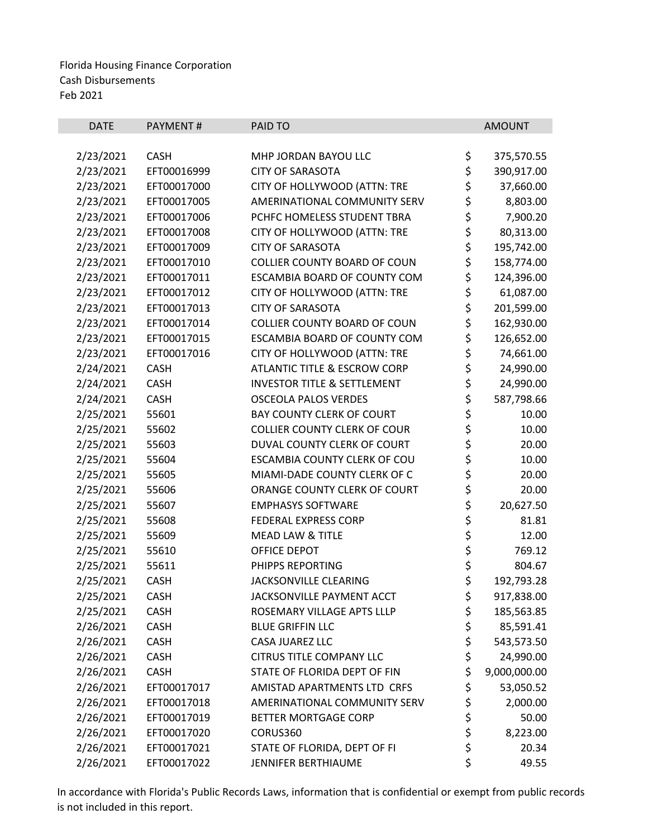| <b>DATE</b> | PAYMENT#    | PAID TO                                |          | <b>AMOUNT</b> |
|-------------|-------------|----------------------------------------|----------|---------------|
|             |             |                                        |          |               |
| 2/23/2021   | <b>CASH</b> | MHP JORDAN BAYOU LLC                   | \$       | 375,570.55    |
| 2/23/2021   | EFT00016999 | <b>CITY OF SARASOTA</b>                | \$       | 390,917.00    |
| 2/23/2021   | EFT00017000 | CITY OF HOLLYWOOD (ATTN: TRE           | \$       | 37,660.00     |
| 2/23/2021   | EFT00017005 | AMERINATIONAL COMMUNITY SERV           | \$       | 8,803.00      |
| 2/23/2021   | EFT00017006 | PCHFC HOMELESS STUDENT TBRA            | \$       | 7,900.20      |
| 2/23/2021   | EFT00017008 | CITY OF HOLLYWOOD (ATTN: TRE           | \$       | 80,313.00     |
| 2/23/2021   | EFT00017009 | <b>CITY OF SARASOTA</b>                | \$       | 195,742.00    |
| 2/23/2021   | EFT00017010 | <b>COLLIER COUNTY BOARD OF COUN</b>    | \$       | 158,774.00    |
| 2/23/2021   | EFT00017011 | ESCAMBIA BOARD OF COUNTY COM           | \$       | 124,396.00    |
| 2/23/2021   | EFT00017012 | CITY OF HOLLYWOOD (ATTN: TRE           | \$       | 61,087.00     |
| 2/23/2021   | EFT00017013 | <b>CITY OF SARASOTA</b>                | \$       | 201,599.00    |
| 2/23/2021   | EFT00017014 | COLLIER COUNTY BOARD OF COUN           | \$       | 162,930.00    |
| 2/23/2021   | EFT00017015 | ESCAMBIA BOARD OF COUNTY COM           | \$       | 126,652.00    |
| 2/23/2021   | EFT00017016 | CITY OF HOLLYWOOD (ATTN: TRE           | \$       | 74,661.00     |
| 2/24/2021   | <b>CASH</b> | ATLANTIC TITLE & ESCROW CORP           | \$       | 24,990.00     |
| 2/24/2021   | <b>CASH</b> | <b>INVESTOR TITLE &amp; SETTLEMENT</b> | \$<br>\$ | 24,990.00     |
| 2/24/2021   | CASH        | <b>OSCEOLA PALOS VERDES</b>            |          | 587,798.66    |
| 2/25/2021   | 55601       | BAY COUNTY CLERK OF COURT              | \$       | 10.00         |
| 2/25/2021   | 55602       | <b>COLLIER COUNTY CLERK OF COUR</b>    | \$<br>\$ | 10.00         |
| 2/25/2021   | 55603       | DUVAL COUNTY CLERK OF COURT            |          | 20.00         |
| 2/25/2021   | 55604       | ESCAMBIA COUNTY CLERK OF COU           |          | 10.00         |
| 2/25/2021   | 55605       | MIAMI-DADE COUNTY CLERK OF C           | \$\$\$   | 20.00         |
| 2/25/2021   | 55606       | ORANGE COUNTY CLERK OF COURT           |          | 20.00         |
| 2/25/2021   | 55607       | <b>EMPHASYS SOFTWARE</b>               | \$       | 20,627.50     |
| 2/25/2021   | 55608       | <b>FEDERAL EXPRESS CORP</b>            | \$       | 81.81         |
| 2/25/2021   | 55609       | <b>MEAD LAW &amp; TITLE</b>            | \$<br>\$ | 12.00         |
| 2/25/2021   | 55610       | OFFICE DEPOT                           |          | 769.12        |
| 2/25/2021   | 55611       | PHIPPS REPORTING                       | \$       | 804.67        |
| 2/25/2021   | CASH        | <b>JACKSONVILLE CLEARING</b>           | \$       | 192,793.28    |
| 2/25/2021   | <b>CASH</b> | JACKSONVILLE PAYMENT ACCT              | \$       | 917,838.00    |
| 2/25/2021   | <b>CASH</b> | ROSEMARY VILLAGE APTS LLLP             | \$       | 185,563.85    |
| 2/26/2021   | <b>CASH</b> | <b>BLUE GRIFFIN LLC</b>                | \$       | 85,591.41     |
| 2/26/2021   | <b>CASH</b> | CASA JUAREZ LLC                        | \$       | 543,573.50    |
| 2/26/2021   | <b>CASH</b> | <b>CITRUS TITLE COMPANY LLC</b>        | \$       | 24,990.00     |
| 2/26/2021   | <b>CASH</b> | STATE OF FLORIDA DEPT OF FIN           | \$       | 9,000,000.00  |
| 2/26/2021   | EFT00017017 | AMISTAD APARTMENTS LTD CRFS            | \$       | 53,050.52     |
| 2/26/2021   | EFT00017018 | AMERINATIONAL COMMUNITY SERV           | \$       | 2,000.00      |
| 2/26/2021   | EFT00017019 | BETTER MORTGAGE CORP                   | \$       | 50.00         |
| 2/26/2021   | EFT00017020 | CORUS360                               | \$       | 8,223.00      |
| 2/26/2021   | EFT00017021 | STATE OF FLORIDA, DEPT OF FI           | \$       | 20.34         |
| 2/26/2021   | EFT00017022 | JENNIFER BERTHIAUME                    | \$       | 49.55         |